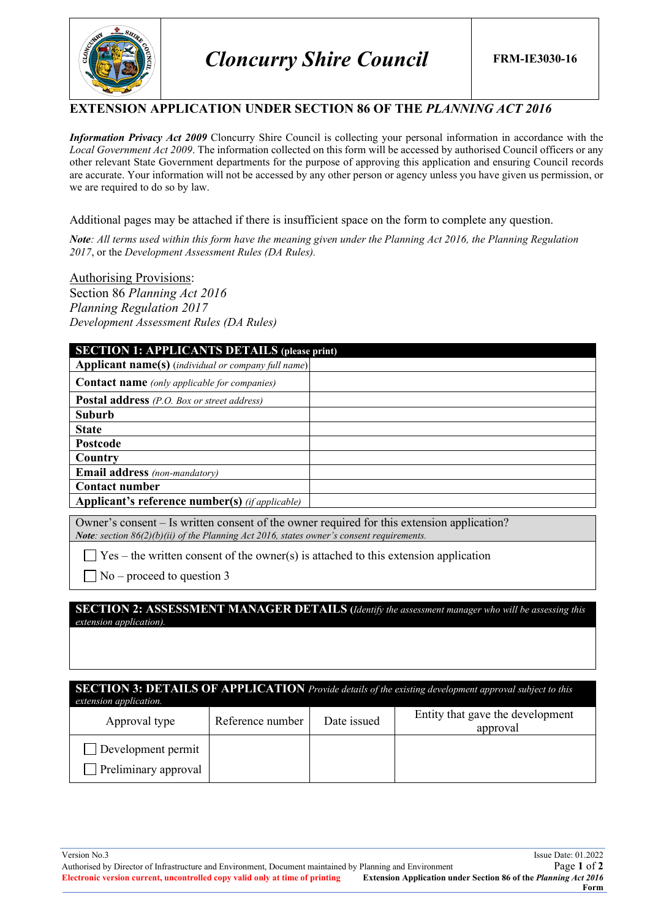

#### **EXTENSION APPLICATION UNDER SECTION 86 OF THE** *PLANNING ACT 2016*

*Information Privacy Act 2009* Cloncurry Shire Council is collecting your personal information in accordance with the *Local Government Act 2009*. The information collected on this form will be accessed by authorised Council officers or any other relevant State Government departments for the purpose of approving this application and ensuring Council records are accurate. Your information will not be accessed by any other person or agency unless you have given us permission, or we are required to do so by law.

Additional pages may be attached if there is insufficient space on the form to complete any question.

*Note: All terms used within this form have the meaning given under the Planning Act 2016, the Planning Regulation 2017*, or the *Development Assessment Rules (DA Rules).*

Authorising Provisions: Section 86 *Planning Act 2016 Planning Regulation 2017 Development Assessment Rules (DA Rules)*

| <b>SECTION 1: APPLICANTS DETAILS (please print)</b>        |  |  |  |  |
|------------------------------------------------------------|--|--|--|--|
| <b>Applicant name(s)</b> (individual or company full name) |  |  |  |  |
| <b>Contact name</b> (only applicable for companies)        |  |  |  |  |
| <b>Postal address</b> (P.O. Box or street address)         |  |  |  |  |
| <b>Suburb</b>                                              |  |  |  |  |
| <b>State</b>                                               |  |  |  |  |
| <b>Postcode</b>                                            |  |  |  |  |
| Country                                                    |  |  |  |  |
| <b>Email address</b> (non-mandatory)                       |  |  |  |  |
| <b>Contact number</b>                                      |  |  |  |  |
| <b>Applicant's reference number(s)</b> (if applicable)     |  |  |  |  |

Owner's consent – Is written consent of the owner required for this extension application? *Note: section 86(2)(b)(ii) of the Planning Act 2016, states owner's consent requirements.*

 $\Box$  Yes – the written consent of the owner(s) is attached to this extension application

 $\Box$  No – proceed to question 3

**SECTION 2: ASSESSMENT MANAGER DETAILS (***Identify the assessment manager who will be assessing this extension application).*

**SECTION 3: DETAILS OF APPLICATION** *Provide details of the existing development approval subject to this* 

| extension application. |                  |             |                                              |
|------------------------|------------------|-------------|----------------------------------------------|
| Approval type          | Reference number | Date issued | Entity that gave the development<br>approval |
| Development permit     |                  |             |                                              |
| Preliminary approval   |                  |             |                                              |

Version No.3 Issue Date: 01.2022 Authorised by Director of Infrastructure and Environment, Document maintained by Planning and Environment Page **1** of **2 Electronic version current, uncontrolled copy valid only at time of printing Form**